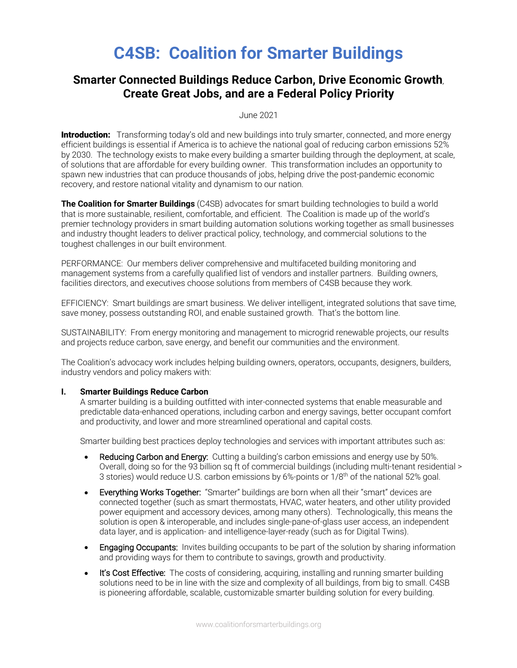# **C4SB: Coalition for Smarter Buildings**

## **Smarter Connected Buildings Reduce Carbon, Drive Economic Growth**, **Create Great Jobs, and are a Federal Policy Priority**

June 2021

**Introduction:** Transforming today's old and new buildings into truly smarter, connected, and more energy efficient buildings is essential if America is to achieve the national goal of reducing carbon emissions 52% by 2030. The technology exists to make every building a smarter building through the deployment, at scale, of solutions that are affordable for every building owner. This transformation includes an opportunity to spawn new industries that can produce thousands of jobs, helping drive the post-pandemic economic recovery, and restore national vitality and dynamism to our nation.

**The Coalition for Smarter Buildings** (C4SB) advocates for smart building technologies to build a world that is more sustainable, resilient, comfortable, and efficient. The Coalition is made up of the world's premier technology providers in smart building automation solutions working together as small businesses and industry thought leaders to deliver practical policy, technology, and commercial solutions to the toughest challenges in our built environment.

PERFORMANCE: Our members deliver comprehensive and multifaceted building monitoring and management systems from a carefully qualified list of vendors and installer partners. Building owners, facilities directors, and executives choose solutions from members of C4SB because they work.

EFFICIENCY: Smart buildings are smart business. We deliver intelligent, integrated solutions that save time, save money, possess outstanding ROI, and enable sustained growth. That's the bottom line.

SUSTAINABILITY: From energy monitoring and management to microgrid renewable projects, our results and projects reduce carbon, save energy, and benefit our communities and the environment.

The Coalition's advocacy work includes helping building owners, operators, occupants, designers, builders, industry vendors and policy makers with:

### **I. Smarter Buildings Reduce Carbon**

A smarter building is a building outfitted with inter-connected systems that enable measurable and predictable data-enhanced operations, including carbon and energy savings, better occupant comfort and productivity, and lower and more streamlined operational and capital costs.

Smarter building best practices deploy technologies and services with important attributes such as:

- Reducing Carbon and Energy: Cutting a building's carbon emissions and energy use by 50%. Overall, doing so for the 93 billion sq ft of commercial buildings (including multi-tenant residential > 3 stories) would reduce U.S. carbon emissions by 6%-points or 1/8th of the national 52% goal.
- **Everything Works Together:** "Smarter" buildings are born when all their "smart" devices are connected together (such as smart thermostats, HVAC, water heaters, and other utility provided power equipment and accessory devices, among many others). Technologically, this means the solution is open & interoperable, and includes single-pane-of-glass user access, an independent data layer, and is application- and intelligence-layer-ready (such as for Digital Twins).
- Engaging Occupants: Invites building occupants to be part of the solution by sharing information and providing ways for them to contribute to savings, growth and productivity.
- It's Cost Effective: The costs of considering, acquiring, installing and running smarter building solutions need to be in line with the size and complexity of all buildings, from big to small. C4SB is pioneering affordable, scalable, customizable smarter building solution for every building.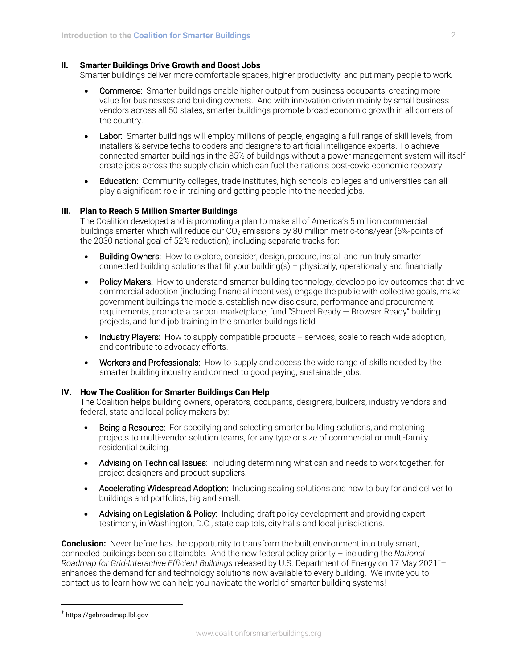### **II. Smarter Buildings Drive Growth and Boost Jobs**

Smarter buildings deliver more comfortable spaces, higher productivity, and put many people to work.

- Commerce: Smarter buildings enable higher output from business occupants, creating more value for businesses and building owners. And with innovation driven mainly by small business vendors across all 50 states, smarter buildings promote broad economic growth in all corners of the country.
- Labor: Smarter buildings will employ millions of people, engaging a full range of skill levels, from installers & service techs to coders and designers to artificial intelligence experts. To achieve connected smarter buildings in the 85% of buildings without a power management system will itself create jobs across the supply chain which can fuel the nation's post-covid economic recovery.
- Education: Community colleges, trade institutes, high schools, colleges and universities can all play a significant role in training and getting people into the needed jobs.

#### **III. Plan to Reach 5 Million Smarter Buildings**

The Coalition developed and is promoting a plan to make all of America's 5 million commercial buildings smarter which will reduce our CO<sub>2</sub> emissions by 80 million metric-tons/year (6%-points of the 2030 national goal of 52% reduction), including separate tracks for:

- Building Owners: How to explore, consider, design, procure, install and run truly smarter connected building solutions that fit your building(s) – physically, operationally and financially.
- Policy Makers: How to understand smarter building technology, develop policy outcomes that drive commercial adoption (including financial incentives), engage the public with collective goals, make government buildings the models, establish new disclosure, performance and procurement requirements, promote a carbon marketplace, fund "Shovel Ready — Browser Ready" building projects, and fund job training in the smarter buildings field.
- Industry Players: How to supply compatible products + services, scale to reach wide adoption, and contribute to advocacy efforts.
- Workers and Professionals: How to supply and access the wide range of skills needed by the smarter building industry and connect to good paying, sustainable jobs.

#### **IV. How The Coalition for Smarter Buildings Can Help**

The Coalition helps building owners, operators, occupants, designers, builders, industry vendors and federal, state and local policy makers by:

- **Being a Resource:** For specifying and selecting smarter building solutions, and matching projects to multi-vendor solution teams, for any type or size of commercial or multi-family residential building.
- Advising on Technical Issues: Including determining what can and needs to work together, for project designers and product suppliers.
- Accelerating Widespread Adoption: Including scaling solutions and how to buy for and deliver to buildings and portfolios, big and small.
- Advising on Legislation & Policy: Including draft policy development and providing expert testimony, in Washington, D.C., state capitols, city halls and local jurisdictions.

**Conclusion:** Never before has the opportunity to transform the built environment into truly smart, connected buildings been so attainable. And the new federal policy priority – including the *National Roadmap for Grid-Interactive Efficient Buildings* released by U.S. Department of Energy on 17 May 2021† – enhances the demand for and technology solutions now available to every building. We invite you to contact us to learn how we can help you navigate the world of smarter building systems!

<sup>†</sup> https://gebroadmap.lbl.gov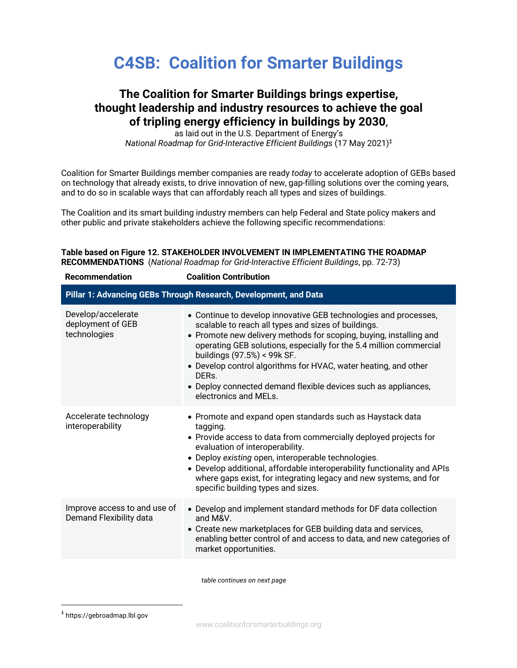# **C4SB: Coalition for Smarter Buildings**

## **The Coalition for Smarter Buildings brings expertise, thought leadership and industry resources to achieve the goal of tripling energy efficiency in buildings by 2030**,

as laid out in the U.S. Department of Energy's *National Roadmap for Grid-Interactive Efficient Buildings* (17 May 2021)‡

Coalition for Smarter Buildings member companies are ready *today* to accelerate adoption of GEBs based on technology that already exists, to drive innovation of new, gap-filling solutions over the coming years, and to do so in scalable ways that can affordably reach all types and sizes of buildings.

The Coalition and its smart building industry members can help Federal and State policy makers and other public and private stakeholders achieve the following specific recommendations:

**Table based on Figure 12. STAKEHOLDER INVOLVEMENT IN IMPLEMENTATING THE ROADMAP RECOMMENDATIONS** (*National Roadmap for Grid-Interactive Efficient Buildings*, pp. 72-73)

| <b>Coalition Contribution</b>                                                                                                                                                                                                                                                                                                                                                                                                                                             |  |  |  |  |  |  |
|---------------------------------------------------------------------------------------------------------------------------------------------------------------------------------------------------------------------------------------------------------------------------------------------------------------------------------------------------------------------------------------------------------------------------------------------------------------------------|--|--|--|--|--|--|
| Pillar 1: Advancing GEBs Through Research, Development, and Data                                                                                                                                                                                                                                                                                                                                                                                                          |  |  |  |  |  |  |
| • Continue to develop innovative GEB technologies and processes,<br>scalable to reach all types and sizes of buildings.<br>• Promote new delivery methods for scoping, buying, installing and<br>operating GEB solutions, especially for the 5.4 million commercial<br>buildings (97.5%) < 99k SF.<br>• Develop control algorithms for HVAC, water heating, and other<br>DERs.<br>• Deploy connected demand flexible devices such as appliances,<br>electronics and MELs. |  |  |  |  |  |  |
| • Promote and expand open standards such as Haystack data<br>tagging.<br>• Provide access to data from commercially deployed projects for<br>evaluation of interoperability.<br>• Deploy existing open, interoperable technologies.<br>• Develop additional, affordable interoperability functionality and APIs<br>where gaps exist, for integrating legacy and new systems, and for<br>specific building types and sizes.                                                |  |  |  |  |  |  |
| • Develop and implement standard methods for DF data collection<br>and M&V.<br>• Create new marketplaces for GEB building data and services,<br>enabling better control of and access to data, and new categories of<br>market opportunities.                                                                                                                                                                                                                             |  |  |  |  |  |  |
|                                                                                                                                                                                                                                                                                                                                                                                                                                                                           |  |  |  |  |  |  |

*table continues on next page*

<sup>‡</sup> https://gebroadmap.lbl.gov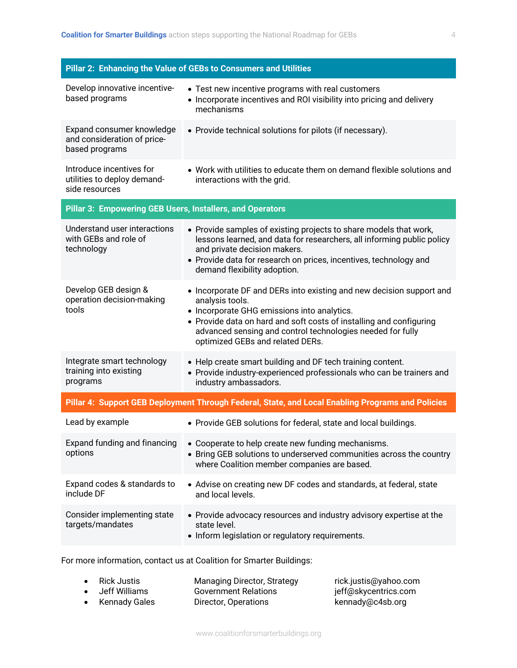| Develop innovative incentive-<br>• Test new incentive programs with real customers<br>based programs<br>• Incorporate incentives and ROI visibility into pricing and delivery<br>mechanisms<br>Expand consumer knowledge<br>• Provide technical solutions for pilots (if necessary).<br>and consideration of price-<br>based programs<br>Introduce incentives for<br>• Work with utilities to educate them on demand flexible solutions and<br>utilities to deploy demand-<br>interactions with the grid.<br>side resources<br>Pillar 3: Empowering GEB Users, Installers, and Operators<br>Understand user interactions<br>• Provide samples of existing projects to share models that work,<br>with GEBs and role of<br>lessons learned, and data for researchers, all informing public policy<br>technology<br>and private decision makers.<br>• Provide data for research on prices, incentives, technology and<br>demand flexibility adoption. |  |  |  |  |  |  |
|-----------------------------------------------------------------------------------------------------------------------------------------------------------------------------------------------------------------------------------------------------------------------------------------------------------------------------------------------------------------------------------------------------------------------------------------------------------------------------------------------------------------------------------------------------------------------------------------------------------------------------------------------------------------------------------------------------------------------------------------------------------------------------------------------------------------------------------------------------------------------------------------------------------------------------------------------------|--|--|--|--|--|--|
|                                                                                                                                                                                                                                                                                                                                                                                                                                                                                                                                                                                                                                                                                                                                                                                                                                                                                                                                                     |  |  |  |  |  |  |
|                                                                                                                                                                                                                                                                                                                                                                                                                                                                                                                                                                                                                                                                                                                                                                                                                                                                                                                                                     |  |  |  |  |  |  |
|                                                                                                                                                                                                                                                                                                                                                                                                                                                                                                                                                                                                                                                                                                                                                                                                                                                                                                                                                     |  |  |  |  |  |  |
|                                                                                                                                                                                                                                                                                                                                                                                                                                                                                                                                                                                                                                                                                                                                                                                                                                                                                                                                                     |  |  |  |  |  |  |
|                                                                                                                                                                                                                                                                                                                                                                                                                                                                                                                                                                                                                                                                                                                                                                                                                                                                                                                                                     |  |  |  |  |  |  |
| Develop GEB design &<br>• Incorporate DF and DERs into existing and new decision support and<br>operation decision-making<br>analysis tools.<br>tools<br>• Incorporate GHG emissions into analytics.<br>• Provide data on hard and soft costs of installing and configuring<br>advanced sensing and control technologies needed for fully<br>optimized GEBs and related DERs.                                                                                                                                                                                                                                                                                                                                                                                                                                                                                                                                                                       |  |  |  |  |  |  |
| Integrate smart technology<br>• Help create smart building and DF tech training content.<br>training into existing<br>• Provide industry-experienced professionals who can be trainers and<br>programs<br>industry ambassadors.                                                                                                                                                                                                                                                                                                                                                                                                                                                                                                                                                                                                                                                                                                                     |  |  |  |  |  |  |
| Pillar 4: Support GEB Deployment Through Federal, State, and Local Enabling Programs and Policies                                                                                                                                                                                                                                                                                                                                                                                                                                                                                                                                                                                                                                                                                                                                                                                                                                                   |  |  |  |  |  |  |
| Lead by example<br>• Provide GEB solutions for federal, state and local buildings.                                                                                                                                                                                                                                                                                                                                                                                                                                                                                                                                                                                                                                                                                                                                                                                                                                                                  |  |  |  |  |  |  |
| Expand funding and financing<br>• Cooperate to help create new funding mechanisms.<br>options<br>• Bring GEB solutions to underserved communities across the country<br>where Coalition member companies are based.                                                                                                                                                                                                                                                                                                                                                                                                                                                                                                                                                                                                                                                                                                                                 |  |  |  |  |  |  |
| Expand codes & standards to<br>• Advise on creating new DF codes and standards, at federal, state<br>include DF<br>and local levels.                                                                                                                                                                                                                                                                                                                                                                                                                                                                                                                                                                                                                                                                                                                                                                                                                |  |  |  |  |  |  |
| Consider implementing state<br>• Provide advocacy resources and industry advisory expertise at the<br>targets/mandates<br>state level.<br>• Inform legislation or regulatory requirements.                                                                                                                                                                                                                                                                                                                                                                                                                                                                                                                                                                                                                                                                                                                                                          |  |  |  |  |  |  |

For more information, contact us at Coalition for Smarter Buildings:

| $\bullet$ Rick Justis | <b>Managing Director, Strategy</b> | rick.justis@yahoo.com |
|-----------------------|------------------------------------|-----------------------|
| • Jeff Williams       | <b>Government Relations</b>        | jeff@skycentrics.com  |
| • Kennady Gales       | Director, Operations               | kennady@c4sb.org      |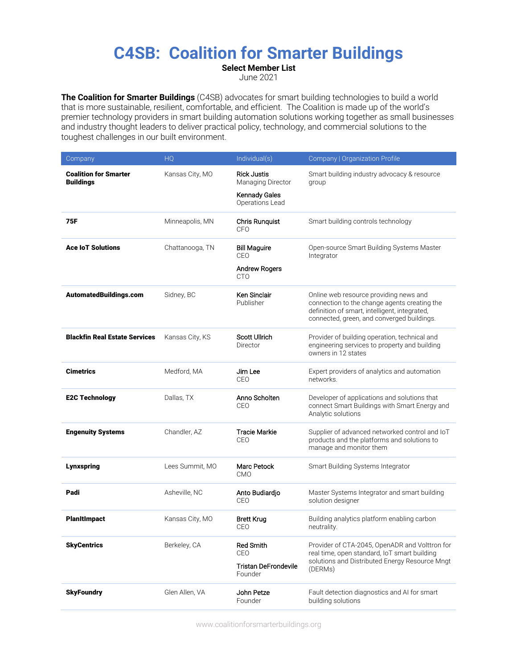# **C4SB: Coalition for Smarter Buildings**

**Select Member List** June 2021

**The Coalition for Smarter Buildings** (C4SB) advocates for smart building technologies to build a world that is more sustainable, resilient, comfortable, and efficient. The Coalition is made up of the world's premier technology providers in smart building automation solutions working together as small businesses and industry thought leaders to deliver practical policy, technology, and commercial solutions to the toughest challenges in our built environment.

| Company                                          | HQ              | Individual(s)                                                                      | Company   Organization Profile                                                                                                                                                        |
|--------------------------------------------------|-----------------|------------------------------------------------------------------------------------|---------------------------------------------------------------------------------------------------------------------------------------------------------------------------------------|
| <b>Coalition for Smarter</b><br><b>Buildings</b> | Kansas City, MO | <b>Rick Justis</b><br>Managing Director<br><b>Kennady Gales</b><br>Operations Lead | Smart building industry advocacy & resource<br>group                                                                                                                                  |
| 75F                                              | Minneapolis, MN | Chris Runquist<br>CFO                                                              | Smart building controls technology                                                                                                                                                    |
| <b>Ace IoT Solutions</b>                         | Chattanooga, TN | <b>Bill Maguire</b><br>CEO<br>Andrew Rogers<br><b>CTO</b>                          | Open-source Smart Building Systems Master<br>Integrator                                                                                                                               |
| AutomatedBuildings.com                           | Sidney, BC      | Ken Sinclair<br>Publisher                                                          | Online web resource providing news and<br>connection to the change agents creating the<br>definition of smart, intelligent, integrated,<br>connected, green, and converged buildings. |
| <b>Blackfin Real Estate Services</b>             | Kansas City, KS | Scott Ullrich<br>Director                                                          | Provider of building operation, technical and<br>engineering services to property and building<br>owners in 12 states                                                                 |
| <b>Cimetrics</b>                                 | Medford, MA     | Jim Lee<br>CEO                                                                     | Expert providers of analytics and automation<br>networks.                                                                                                                             |
| <b>E2C Technology</b>                            | Dallas, TX      | Anno Scholten<br>CEO                                                               | Developer of applications and solutions that<br>connect Smart Buildings with Smart Energy and<br>Analytic solutions                                                                   |
| <b>Engenuity Systems</b>                         | Chandler, AZ    | <b>Tracie Markie</b><br>CEO                                                        | Supplier of advanced networked control and IoT<br>products and the platforms and solutions to<br>manage and monitor them                                                              |
| <b>Lynxspring</b>                                | Lees Summit, MO | Marc Petock<br><b>CMO</b>                                                          | Smart Building Systems Integrator                                                                                                                                                     |
| Padi                                             | Asheville, NC   | Anto Budiardjo<br>CEO                                                              | Master Systems Integrator and smart building<br>solution designer                                                                                                                     |
| <b>Planitimpact</b>                              | Kansas City, MO | Brett Krug<br>CEO                                                                  | Building analytics platform enabling carbon<br>neutrality.                                                                                                                            |
| <b>SkyCentrics</b>                               | Berkeley, CA    | <b>Red Smith</b><br>CEO<br>Tristan DeFrondevile<br>Founder                         | Provider of CTA-2045, OpenADR and Volttron for<br>real time, open standard, IoT smart building<br>solutions and Distributed Energy Resource Mngt<br>(DERMs)                           |
| <b>SkyFoundry</b>                                | Glen Allen, VA  | John Petze<br>Founder                                                              | Fault detection diagnostics and AI for smart<br>building solutions                                                                                                                    |

www.coalitionforsmarterbuildings.org